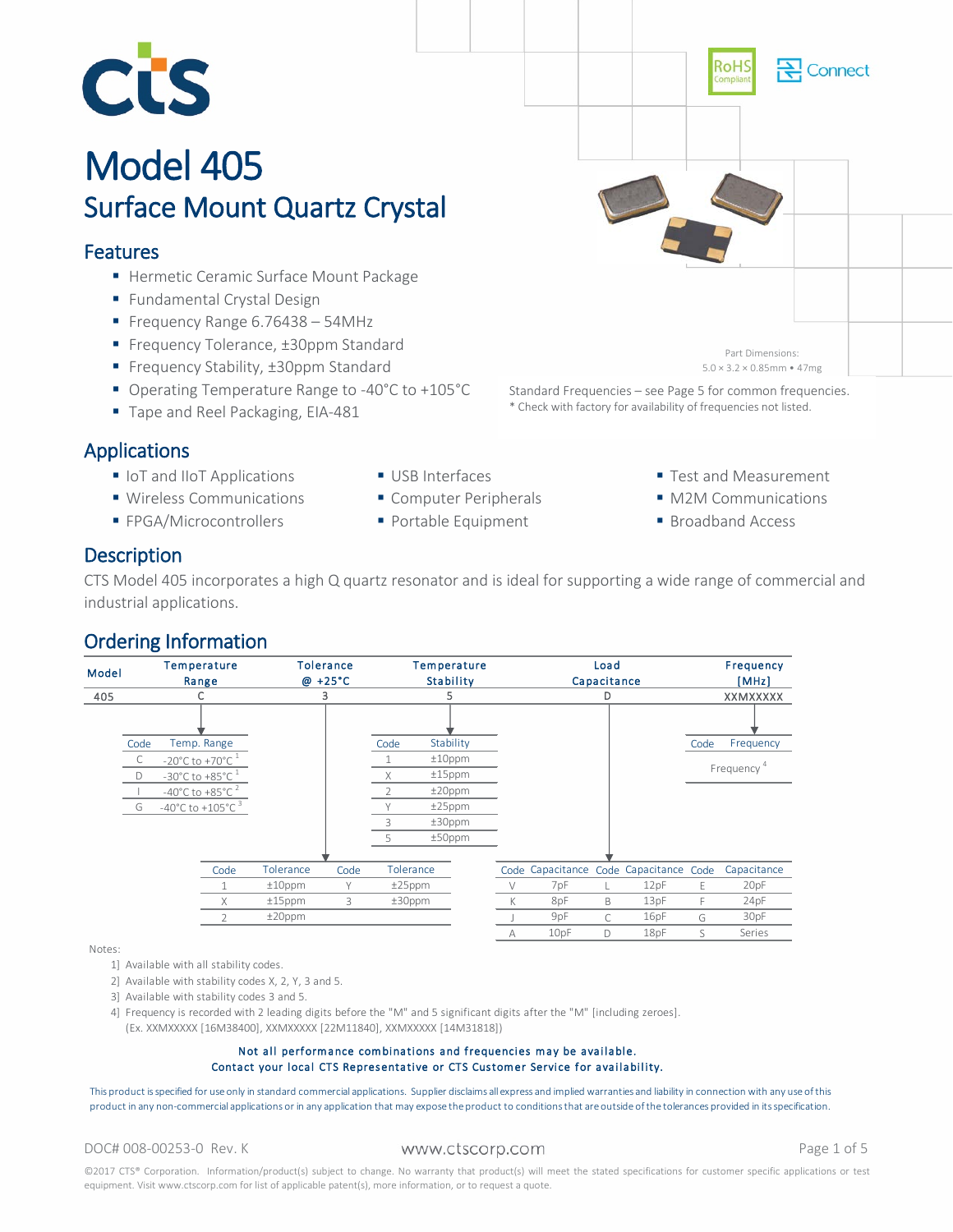

# Model 405<br>Surface Mount Quartz Crystal

# Features

- **Hermetic Ceramic Surface Mount Package**
- **Fundamental Crystal Design**
- Frequency Range 6.76438 54MHz
- Frequency Tolerance, ±30ppm Standard
- Frequency Stability, ±30ppm Standard
- Operating Temperature Range to -40°C to +105°C
- Tape and Reel Packaging, EIA-481

# Applications

- **IoT and IIoT Applications**
- **Wireless Communications**
- **FPGA/Microcontrollers**
- USB Interfaces
- Computer Peripherals
- Portable Equipment
- Test and Measurement
- M2M Communications
- **Broadband Access**

\* Check with factory for availability of frequencies not listed.

# **Description**

CTS Model 405 incorporates a high Q quartz resonator and is ideal for supporting a wide range of commercial and industrial applications.

# Ordering Information



Notes:

- 1] Available with all stability codes.
- 2] Available with stability codes X, 2, Y, 3 and 5.
- 3] Available with stability codes 3 and 5.
- 4] Frequency is recorded with 2 leading digits before the "M" and 5 significant digits after the "M" [including zeroes].
- (Ex. XXMXXXXX [16M38400], XXMXXXXX [22M11840], XXMXXXXX [14M31818])

### Not all performance combinations and frequencies may be available. Contact your local CTS Representative or CTS Customer Service for availability.

This product is specified for use only in standard commercial applications. Supplier disclaims all express and implied warranties and liability in connection with any use of this product in any non-commercial applications or in any application that may expose the product to conditions that are outside of the tolerances provided in its specification.

### DOC# 008-00253-0 Rev. K WWW.Ctscorp.com example the page 1 of 5

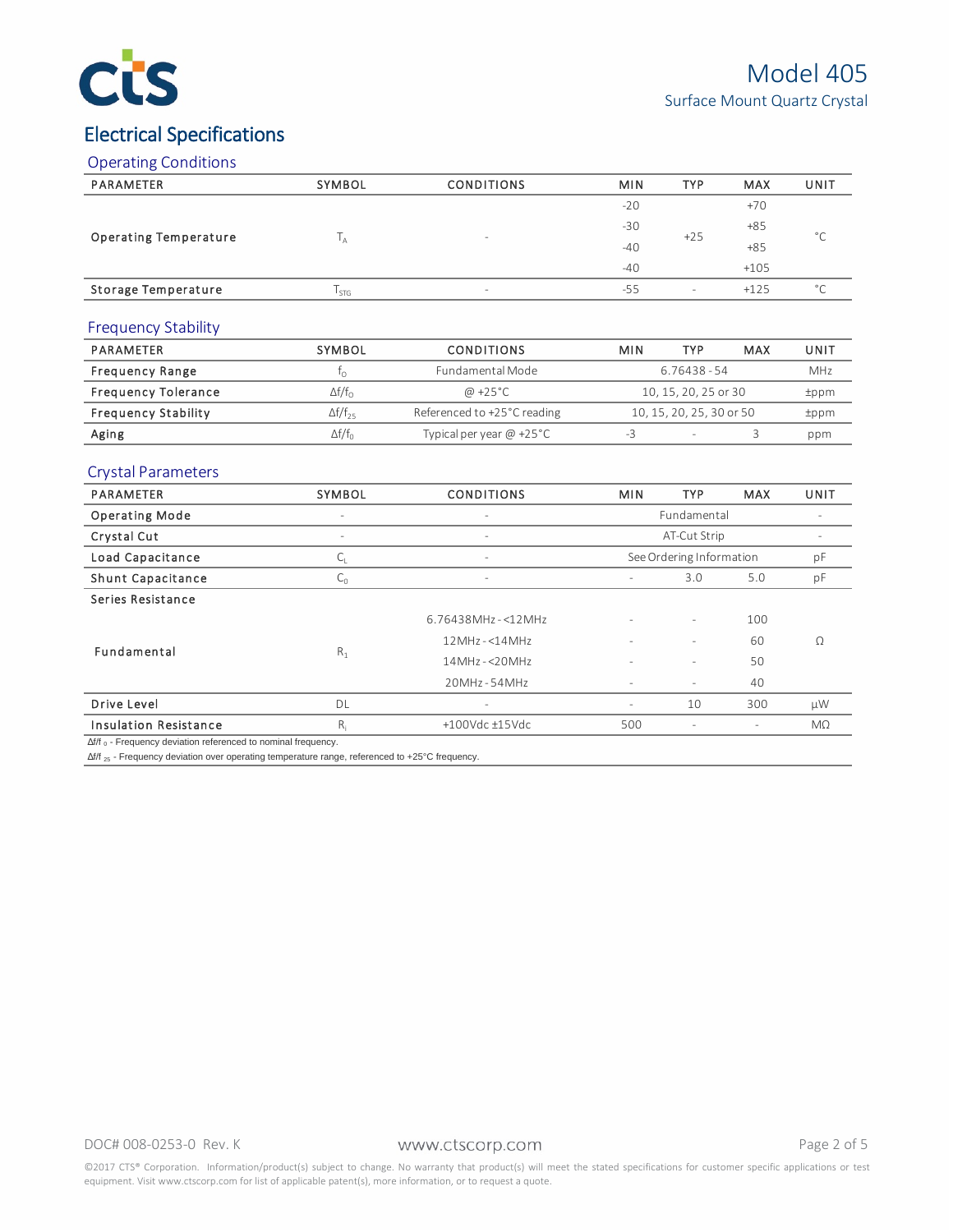

# Electrical Specifications

# Operating Conditions

| PARAMETER                    | SYMBOL | <b>CONDITIONS</b>        | <b>MIN</b> | <b>TYP</b>               | <b>MAX</b> | UNIT           |
|------------------------------|--------|--------------------------|------------|--------------------------|------------|----------------|
|                              |        | $\overline{\phantom{a}}$ | $-20$      | $+25$                    | $+70$      | $\circ$        |
|                              |        |                          | $-30$      |                          | $+85$      |                |
| <b>Operating Temperature</b> | IΑ     |                          | $-40$      |                          | $+85$      |                |
|                              |        |                          | $-40$      |                          | $+105$     |                |
| Storage Temperature          | l stg  | $-$                      | $-55$      | $\overline{\phantom{0}}$ | $+125$     | $\circ$ $\sim$ |

### Frequency Stability

| PARAMETER                  | SYMBOL                | <b>CONDITIONS</b>           | MIN                      | TYP  | MAX | UNIT |  |
|----------------------------|-----------------------|-----------------------------|--------------------------|------|-----|------|--|
| <b>Frequency Range</b>     |                       | Fundamental Mode            | 6.76438 - 54             |      |     |      |  |
| <b>Frequency Tolerance</b> | $\Delta f/f_{\odot}$  | @ +25°C                     | 10, 15, 20, 25 or 30     | tppm |     |      |  |
| <b>Frequency Stability</b> | $\Delta f/f_{25}$     | Referenced to +25°C reading | 10, 15, 20, 25, 30 or 50 |      |     | tppm |  |
| Aging                      | $\Delta f/f_{\alpha}$ | Typical per year $@ +25°C$  |                          |      |     | ppm  |  |

# Crystal Parameters

| PARAMETER                                                             | SYMBOL                   | <b>CONDITIONS</b>        | <b>MIN</b>               | <b>TYP</b>               | <b>MAX</b> | UNIT      |
|-----------------------------------------------------------------------|--------------------------|--------------------------|--------------------------|--------------------------|------------|-----------|
| <b>Operating Mode</b>                                                 | $\overline{\phantom{a}}$ | ٠                        |                          | Fundamental              |            |           |
| Crystal Cut                                                           | $\overline{\phantom{a}}$ | $\overline{\phantom{a}}$ | AT-Cut Strip             |                          |            |           |
| Load Capacitance                                                      | └╷                       | ٠                        | See Ordering Information | pF                       |            |           |
| <b>Shunt Capacitance</b>                                              | $C_0$                    | $\overline{\phantom{a}}$ | ٠                        | pF                       |            |           |
| Series Resistance                                                     |                          |                          |                          |                          |            |           |
|                                                                       |                          | $6.76438$ MHz-<12MHz     |                          | $\overline{\phantom{a}}$ | 100        |           |
| Fundamental                                                           |                          | $12MHz - 514MHz$         | $\overline{\phantom{a}}$ | ٠                        | 60         | $\Omega$  |
|                                                                       | $R_1$                    | $14MHz - < 20MHz$        |                          | $\overline{\phantom{0}}$ | 50         |           |
|                                                                       |                          | $20MHz - 54MHz$          |                          | $\overline{\phantom{0}}$ | 40         |           |
| Drive Level                                                           | DL                       | $\overline{\phantom{a}}$ | $\overline{\phantom{a}}$ | 10                       | 300        | μW        |
| <b>Insulation Resistance</b>                                          | $R_i$                    | $+100$ Vdc $\pm$ 15Vdc   | 500                      | $\overline{\phantom{a}}$ |            | $M\Omega$ |
| $\Delta f/f_0$ - Frequency deviation referenced to nominal frequency. |                          |                          |                          |                          |            |           |

Δf/f 25 - Frequency deviation over operating temperature range, referenced to +25°C frequency.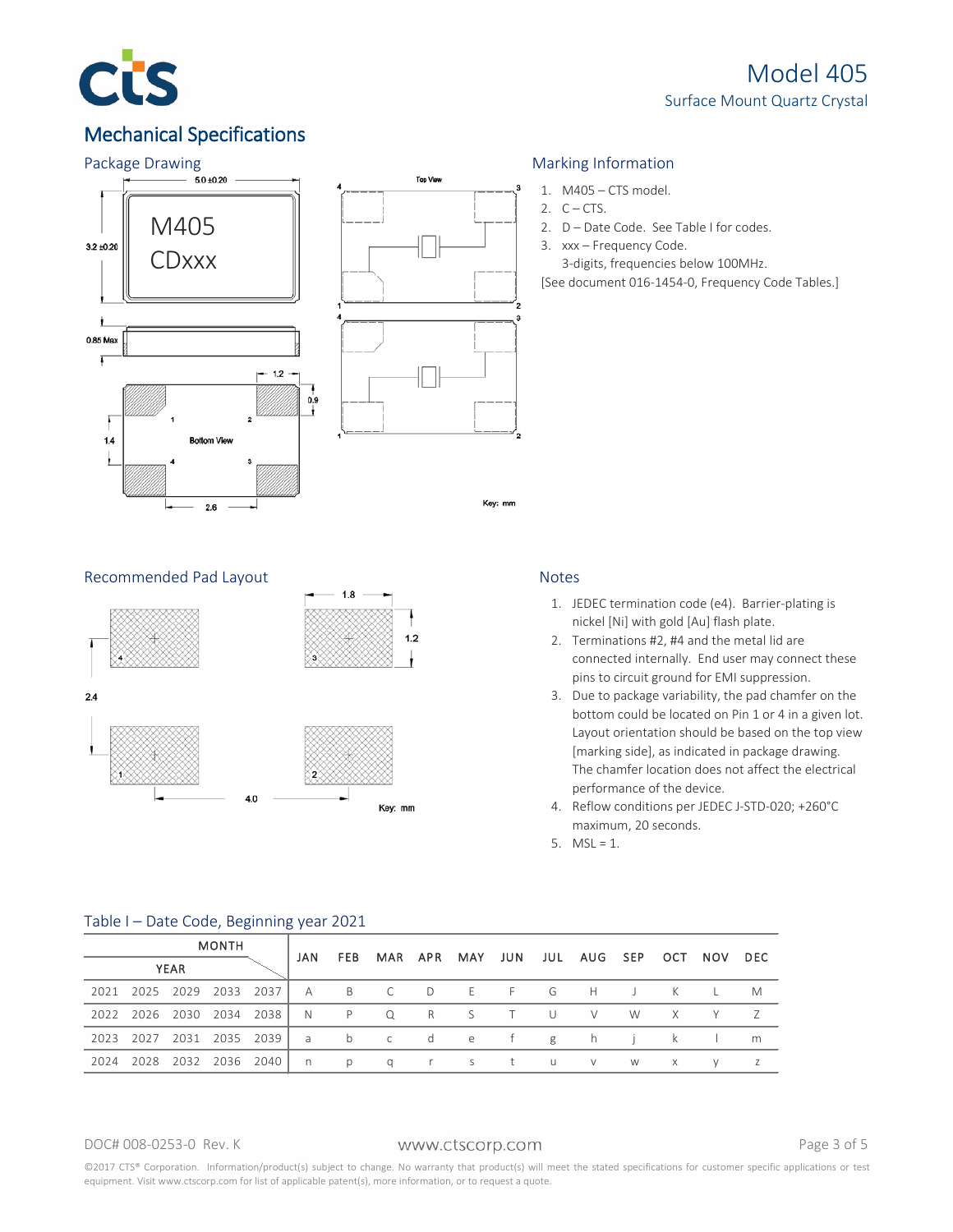

# Mechanical Specifications





- 1. M405 CTS model.
- 2.  $C CTS$ .
- 2. D Date Code. See Table I for codes.
- 3. xxx Frequency Code.
	- 3-digits, frequencies below 100MHz.
- [See document 016-1454-0, Frequency Code Tables.]

### Recommended Pad Layout Notes



- 1. JEDEC termination code (e4). Barrier-plating is nickel [Ni] with gold [Au] flash plate.
- 2. Terminations #2, #4 and the metal lid are connected internally. End user may connect these pins to circuit ground for EMI suppression.
- 3. Due to package variability, the pad chamfer on the bottom could be located on Pin 1 or 4 in a given lot. Layout orientation should be based on the top view [marking side], as indicated in package drawing. The chamfer location does not affect the electrical performance of the device.
- 4. Reflow conditions per JEDEC J-STD-020; +260°C maximum, 20 seconds.
- 5.  $MSL = 1$ .

| <b>MONTH</b> |                          |  | JAN | FEB MAR APR MAY JUN JUL AUG SEP OCT NOV DEC |                                                    |  |  |          |          |     |  |
|--------------|--------------------------|--|-----|---------------------------------------------|----------------------------------------------------|--|--|----------|----------|-----|--|
| <b>YEAR</b>  |                          |  |     |                                             |                                                    |  |  |          |          |     |  |
|              |                          |  |     |                                             | 2021 2025 2029 2033 2037   A B C D E F G H J K     |  |  |          |          | L M |  |
|              |                          |  |     |                                             | 2022 2026 2030 2034 2038   N P Q R S T U V W X Y Z |  |  |          |          |     |  |
|              |                          |  |     |                                             | 2023 2027 2031 2035 2039   a b c d e f g h j k     |  |  |          |          |     |  |
|              | 2024 2028 2032 2036 2040 |  |     |                                             | np qr st uv                                        |  |  | <b>W</b> | $\times$ |     |  |

### Table I – Date Code, Beginning year 2021

### DOC# 008-0253-0 Rev. K WWW.Ctscorp.com example and page 3 of 5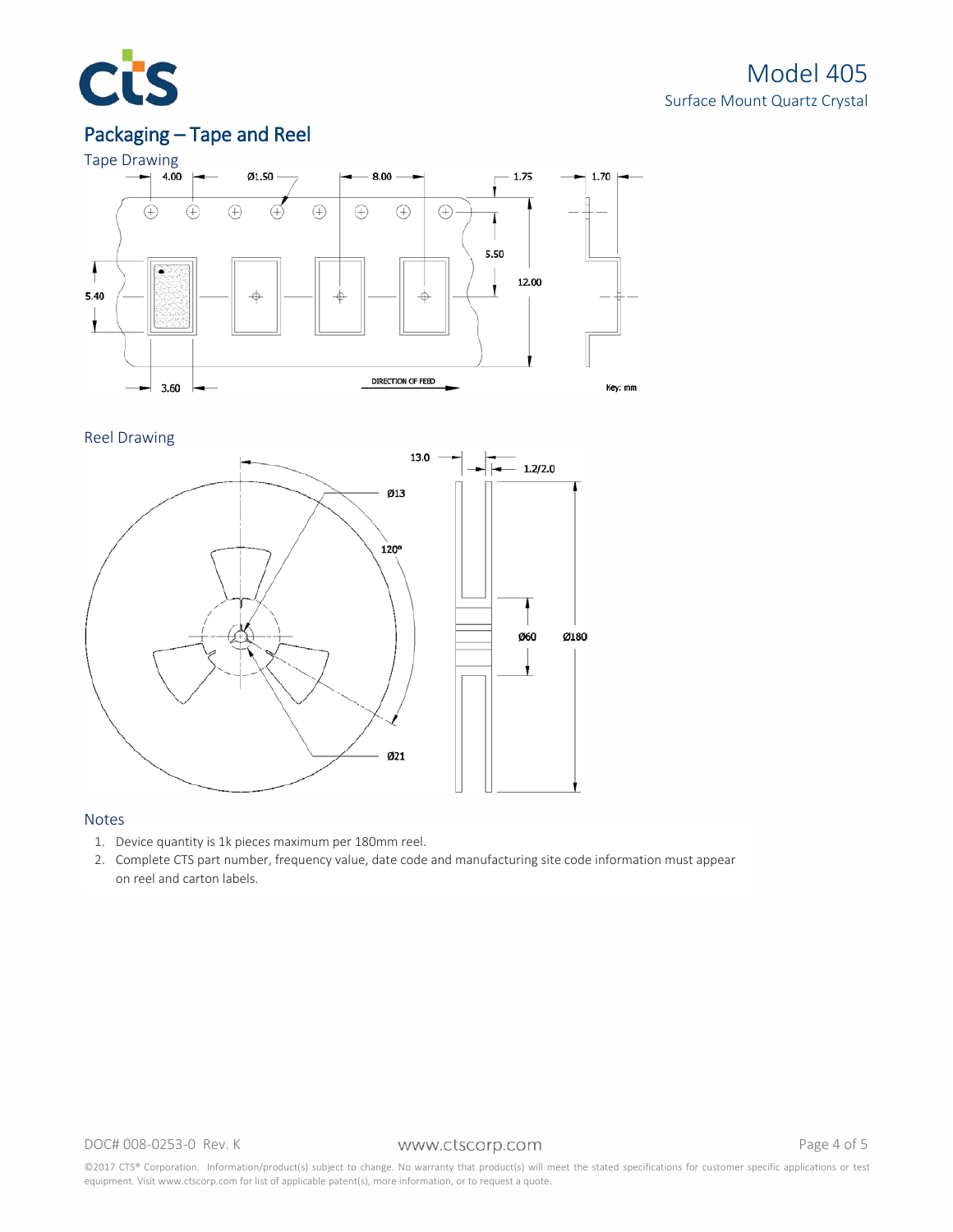

# Packaging – Tape and Reel



### Reel Drawing



### Notes

- 1. Device quantity is 1k pieces maximum per 180mm reel.
- 2. Complete CTS part number, frequency value, date code and manufacturing site code information must appear on reel and carton labels.